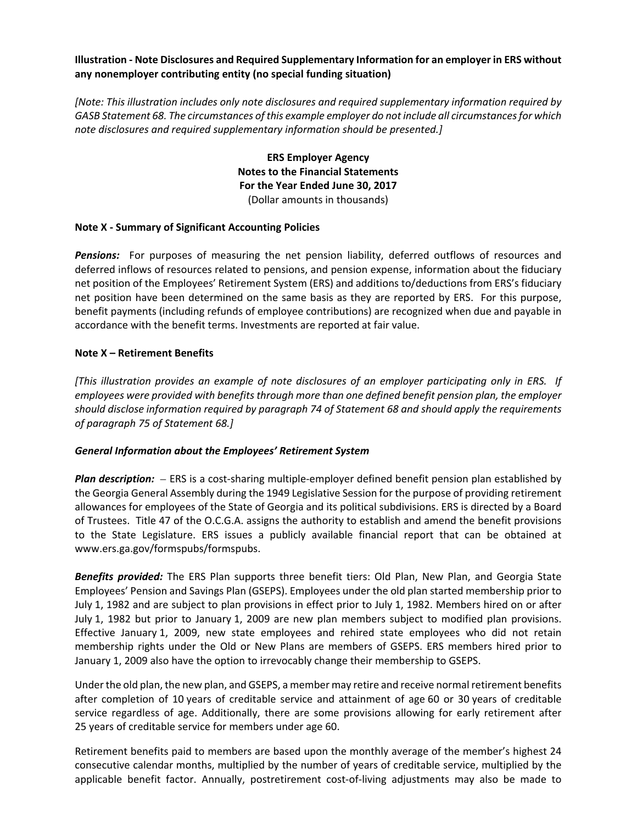## **Illustration ‐ Note Disclosures and Required Supplementary Information for an employer in ERS without any nonemployer contributing entity (no special funding situation)**

*[Note: This illustration includes only note disclosures and required supplementary information required by GASB Statement 68. The circumstances of this example employer do not include all circumstancesfor which note disclosures and required supplementary information should be presented.]*

> **ERS Employer Agency Notes to the Financial Statements For the Year Ended June 30, 2017** (Dollar amounts in thousands)

## **Note X ‐ Summary of Significant Accounting Policies**

**Pensions:** For purposes of measuring the net pension liability, deferred outflows of resources and deferred inflows of resources related to pensions, and pension expense, information about the fiduciary net position of the Employees' Retirement System (ERS) and additions to/deductions from ERS's fiduciary net position have been determined on the same basis as they are reported by ERS. For this purpose, benefit payments (including refunds of employee contributions) are recognized when due and payable in accordance with the benefit terms. Investments are reported at fair value.

## **Note X – Retirement Benefits**

[This illustration provides an example of note disclosures of an employer participating only in ERS. If *employees were provided with benefits through more than one defined benefit pension plan, the employer should disclose information required by paragraph 74 of Statement 68 and should apply the requirements of paragraph 75 of Statement 68.]*

#### *General Information about the Employees' Retirement System*

*Plan description:* – ERS is a cost-sharing multiple-employer defined benefit pension plan established by the Georgia General Assembly during the 1949 Legislative Session for the purpose of providing retirement allowances for employees of the State of Georgia and its political subdivisions. ERS is directed by a Board of Trustees. Title 47 of the O.C.G.A. assigns the authority to establish and amend the benefit provisions to the State Legislature. ERS issues a publicly available financial report that can be obtained at www.ers.ga.gov/formspubs/formspubs.

*Benefits provided:* The ERS Plan supports three benefit tiers: Old Plan, New Plan, and Georgia State Employees' Pension and Savings Plan (GSEPS). Employees under the old plan started membership prior to July 1, 1982 and are subject to plan provisions in effect prior to July 1, 1982. Members hired on or after July 1, 1982 but prior to January 1, 2009 are new plan members subject to modified plan provisions. Effective January 1, 2009, new state employees and rehired state employees who did not retain membership rights under the Old or New Plans are members of GSEPS. ERS members hired prior to January 1, 2009 also have the option to irrevocably change their membership to GSEPS.

Under the old plan, the new plan, and GSEPS, a member may retire and receive normalretirement benefits after completion of 10 years of creditable service and attainment of age 60 or 30 years of creditable service regardless of age. Additionally, there are some provisions allowing for early retirement after 25 years of creditable service for members under age 60.

Retirement benefits paid to members are based upon the monthly average of the member's highest 24 consecutive calendar months, multiplied by the number of years of creditable service, multiplied by the applicable benefit factor. Annually, postretirement cost-of-living adjustments may also be made to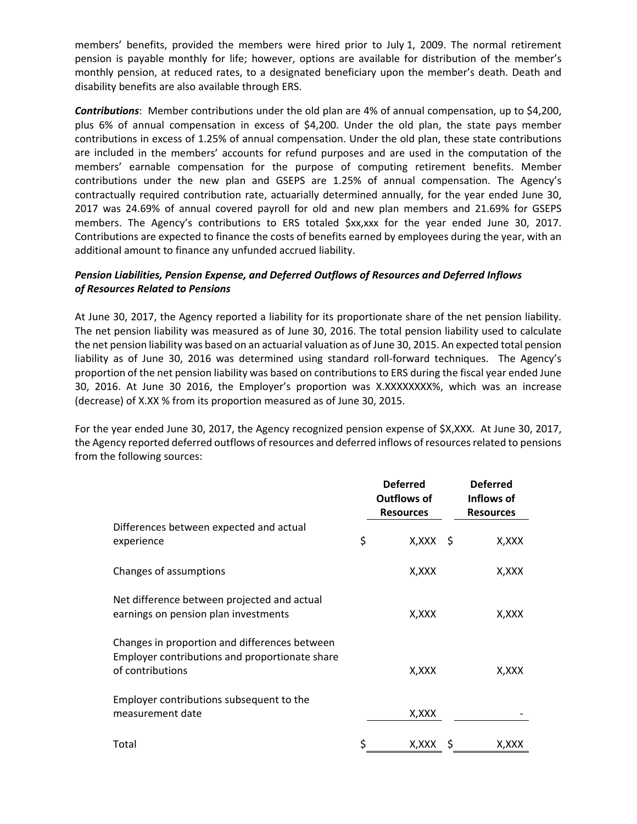members' benefits, provided the members were hired prior to July 1, 2009. The normal retirement pension is payable monthly for life; however, options are available for distribution of the member's monthly pension, at reduced rates, to a designated beneficiary upon the member's death. Death and disability benefits are also available through ERS.

*Contributions*: Member contributions under the old plan are 4% of annual compensation, up to \$4,200, plus 6% of annual compensation in excess of \$4,200. Under the old plan, the state pays member contributions in excess of 1.25% of annual compensation. Under the old plan, these state contributions are included in the members' accounts for refund purposes and are used in the computation of the members' earnable compensation for the purpose of computing retirement benefits. Member contributions under the new plan and GSEPS are 1.25% of annual compensation. The Agency's contractually required contribution rate, actuarially determined annually, for the year ended June 30, 2017 was 24.69% of annual covered payroll for old and new plan members and 21.69% for GSEPS members. The Agency's contributions to ERS totaled \$xx,xxx for the year ended June 30, 2017. Contributions are expected to finance the costs of benefits earned by employees during the year, with an additional amount to finance any unfunded accrued liability.

## *Pension Liabilities, Pension Expense, and Deferred Outflows of Resources and Deferred Inflows of Resources Related to Pensions*

At June 30, 2017, the Agency reported a liability for its proportionate share of the net pension liability. The net pension liability was measured as of June 30, 2016. The total pension liability used to calculate the net pension liability was based on an actuarial valuation as of June 30, 2015. An expected total pension liability as of June 30, 2016 was determined using standard roll-forward techniques. The Agency's proportion of the net pension liability was based on contributions to ERS during the fiscal year ended June 30, 2016. At June 30 2016, the Employer's proportion was X.XXXXXXXX%, which was an increase (decrease) of X.XX % from its proportion measured as of June 30, 2015.

For the year ended June 30, 2017, the Agency recognized pension expense of \$X,XXX. At June 30, 2017, the Agency reported deferred outflows of resources and deferred inflows of resources related to pensions from the following sources:

|                                                                                                                     | <b>Deferred</b><br>Outflows of<br><b>Resources</b> | <b>Deferred</b><br>Inflows of<br><b>Resources</b> |
|---------------------------------------------------------------------------------------------------------------------|----------------------------------------------------|---------------------------------------------------|
| Differences between expected and actual<br>experience                                                               | \$<br>$X, XXX \S$                                  | X,XXX                                             |
| Changes of assumptions                                                                                              | X, XXX                                             | X, XXX                                            |
| Net difference between projected and actual<br>earnings on pension plan investments                                 | X, XXX                                             | X, XXX                                            |
| Changes in proportion and differences between<br>Employer contributions and proportionate share<br>of contributions | X,XXX                                              | X,XXX                                             |
| Employer contributions subsequent to the<br>measurement date                                                        | X, XXX                                             |                                                   |
| Total                                                                                                               | \$<br>X,XXX                                        | X,XXX                                             |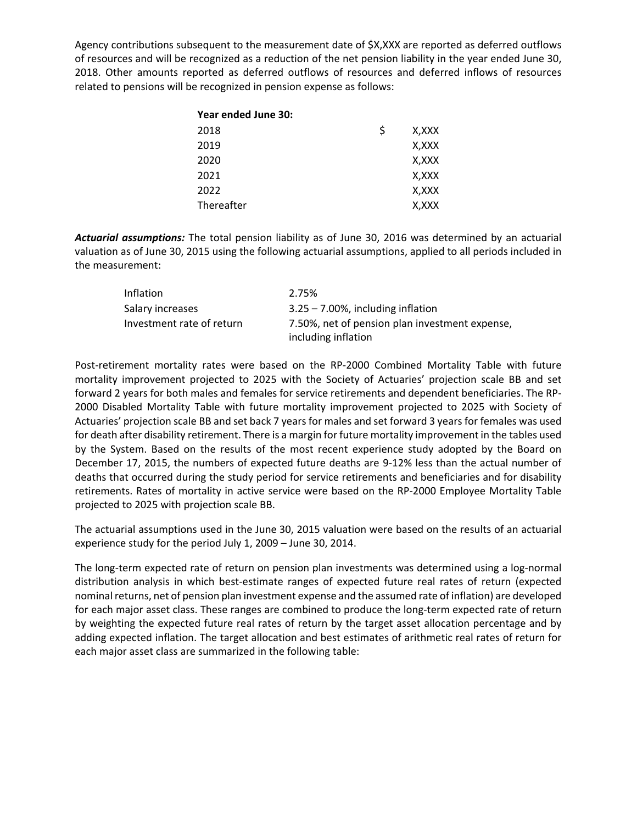Agency contributions subsequent to the measurement date of \$X,XXX are reported as deferred outflows of resources and will be recognized as a reduction of the net pension liability in the year ended June 30, 2018. Other amounts reported as deferred outflows of resources and deferred inflows of resources related to pensions will be recognized in pension expense as follows:

| Year ended June 30: |   |       |
|---------------------|---|-------|
| 2018                | S | X,XXX |
| 2019                |   | X,XXX |
| 2020                |   | X,XXX |
| 2021                |   | X,XXX |
| 2022                |   | X,XXX |
| Thereafter          |   | X,XXX |

*Actuarial assumptions:* The total pension liability as of June 30, 2016 was determined by an actuarial valuation as of June 30, 2015 using the following actuarial assumptions, applied to all periods included in the measurement:

| Inflation                 | 2.75%                                                                 |
|---------------------------|-----------------------------------------------------------------------|
| Salary increases          | $3.25 - 7.00\%$ , including inflation                                 |
| Investment rate of return | 7.50%, net of pension plan investment expense,<br>including inflation |

Post-retirement mortality rates were based on the RP-2000 Combined Mortality Table with future mortality improvement projected to 2025 with the Society of Actuaries' projection scale BB and set forward 2 years for both males and females for service retirements and dependent beneficiaries. The RP‐ 2000 Disabled Mortality Table with future mortality improvement projected to 2025 with Society of Actuaries' projection scale BB and set back 7 years for males and set forward 3 years for females was used for death after disability retirement. There is a margin for future mortality improvement in the tables used by the System. Based on the results of the most recent experience study adopted by the Board on December 17, 2015, the numbers of expected future deaths are 9-12% less than the actual number of deaths that occurred during the study period for service retirements and beneficiaries and for disability retirements. Rates of mortality in active service were based on the RP‐2000 Employee Mortality Table projected to 2025 with projection scale BB.

The actuarial assumptions used in the June 30, 2015 valuation were based on the results of an actuarial experience study for the period July 1, 2009 – June 30, 2014.

The long‐term expected rate of return on pension plan investments was determined using a log‐normal distribution analysis in which best‐estimate ranges of expected future real rates of return (expected nominal returns, net of pension plan investment expense and the assumed rate of inflation) are developed for each major asset class. These ranges are combined to produce the long-term expected rate of return by weighting the expected future real rates of return by the target asset allocation percentage and by adding expected inflation. The target allocation and best estimates of arithmetic real rates of return for each major asset class are summarized in the following table: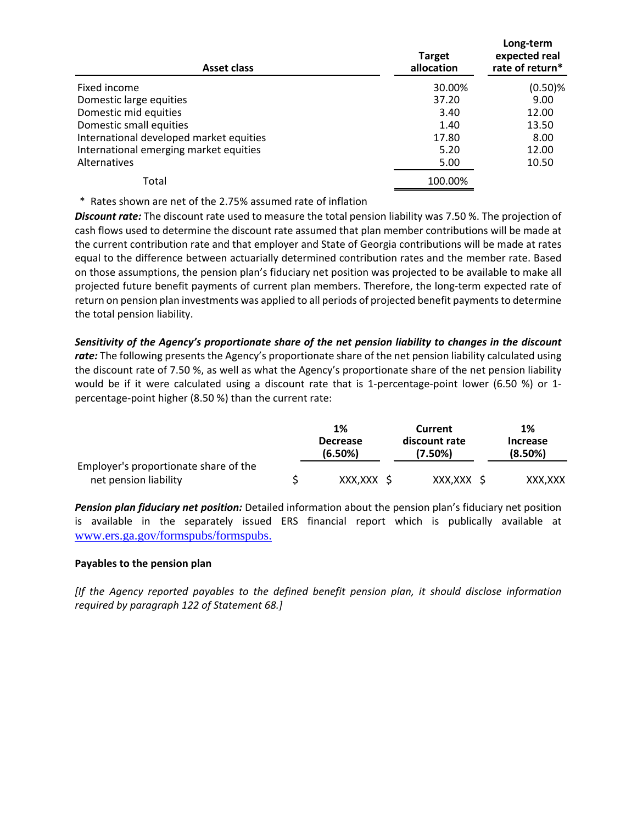| Asset class                             | <b>Target</b><br>allocation | Long-term<br>expected real<br>rate of return* |
|-----------------------------------------|-----------------------------|-----------------------------------------------|
| Fixed income                            | 30.00%                      | $(0.50)$ %                                    |
| Domestic large equities                 | 37.20                       | 9.00                                          |
| Domestic mid equities                   | 3.40                        | 12.00                                         |
| Domestic small equities                 | 1.40                        | 13.50                                         |
| International developed market equities | 17.80                       | 8.00                                          |
| International emerging market equities  | 5.20                        | 12.00                                         |
| Alternatives                            | 5.00                        | 10.50                                         |
| Total                                   | 100.00%                     |                                               |

\* Rates shown are net of the 2.75% assumed rate of inflation

*Discount rate:* The discount rate used to measure the total pension liability was 7.50 %. The projection of cash flows used to determine the discount rate assumed that plan member contributions will be made at the current contribution rate and that employer and State of Georgia contributions will be made at rates equal to the difference between actuarially determined contribution rates and the member rate. Based on those assumptions, the pension plan's fiduciary net position was projected to be available to make all projected future benefit payments of current plan members. Therefore, the long-term expected rate of return on pension plan investments was applied to all periods of projected benefit payments to determine the total pension liability.

*Sensitivity of the Agency's proportionate share of the net pension liability to changes in the discount rate:* The following presents the Agency's proportionate share of the net pension liability calculated using the discount rate of 7.50 %, as well as what the Agency's proportionate share of the net pension liability would be if it were calculated using a discount rate that is 1-percentage-point lower (6.50 %) or 1percentage‐point higher (8.50 %) than the current rate:

|                                       | 1%                         | Current                  | 1%                         |
|---------------------------------------|----------------------------|--------------------------|----------------------------|
|                                       | <b>Decrease</b><br>(6.50%) | discount rate<br>(7.50%) | <b>Increase</b><br>(8.50%) |
| Employer's proportionate share of the |                            |                          |                            |
| net pension liability                 | XXX,XXX \$                 | XXX,XXX \$               | XXX.XXX                    |

*Pension plan fiduciary net position:* Detailed information about the pension plan's fiduciary net position is available in the separately issued ERS financial report which is publically available at www.ers.ga.gov/formspubs/formspubs.

# **Payables to the pension plan**

*[If the Agency reported payables to the defined benefit pension plan, it should disclose information required by paragraph 122 of Statement 68.]*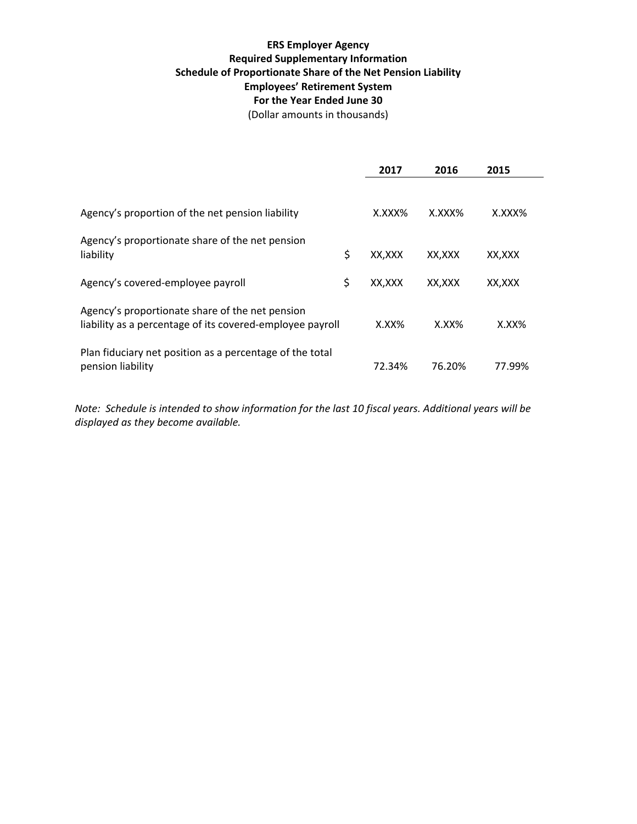# **ERS Employer Agency Required Supplementary Information Schedule of Proportionate Share of the Net Pension Liability Employees' Retirement System For the Year Ended June 30**

(Dollar amounts in thousands)

|                                                                                                              | 2017         | 2016     | 2015     |
|--------------------------------------------------------------------------------------------------------------|--------------|----------|----------|
|                                                                                                              |              |          |          |
| Agency's proportion of the net pension liability                                                             | X.XXX%       | X.XXX%   | X.XXX%   |
| Agency's proportionate share of the net pension                                                              |              |          |          |
| liability                                                                                                    | \$<br>XX,XXX | XX,XXX   | XX, XXX  |
| Agency's covered-employee payroll                                                                            | \$<br>XX,XXX | XX,XXX   | XX,XXX   |
| Agency's proportionate share of the net pension<br>liability as a percentage of its covered-employee payroll | X.XX%        | $X.XX\%$ | $X.XX\%$ |
| Plan fiduciary net position as a percentage of the total<br>pension liability                                | 72.34%       | 76.20%   | 77.99%   |

Note: Schedule is intended to show information for the last 10 fiscal years. Additional years will be *displayed as they become available.*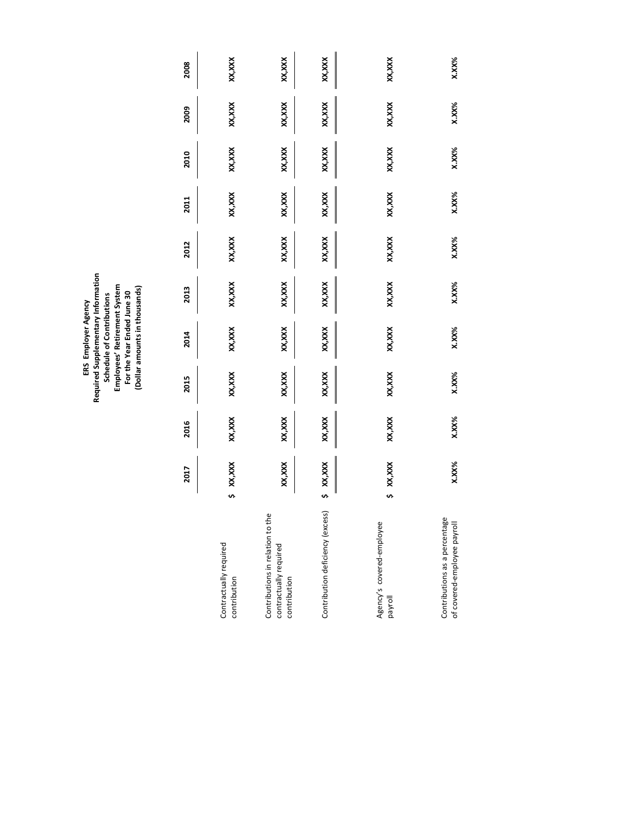ERS Employer Agency<br>Required Supplementary Information<br>Schedule of Contributions<br>Employees' Retirement System<br>For the Year Ended June 30<br>(Dollar amounts in thousands) **Required Supplementary Information Employees' Retirement System (Dollar amounts in thousands) For the Year Ended June 30 Schedule of Contributions ERS Employer Agency**

|                                                                            |    | 2017        | 2016     | 2015     | 2014     | 2013    | 2012     | 2011   | 2010   | 2009     | 2008     |
|----------------------------------------------------------------------------|----|-------------|----------|----------|----------|---------|----------|--------|--------|----------|----------|
|                                                                            |    |             |          |          |          |         |          |        |        |          |          |
| Contractually required<br>contribution                                     | s, | XX, XXX     | XX,XXX   | XX,XXX   | XX, XXX  | XX, XXX | XX, XXX  | XX,XXX | XX,XXX | XX, XXX  | XX, XXX  |
| Contributions in relation to the<br>contractually required<br>contribution |    | XX,XXX      | XX,XXX   | XX,XXX   | XX, XXX  | XX, XXX | XX, XXX  | XX,XXX | XX,XXX | XX, XXX  | XX, XXX  |
| Contribution deficiency (excess)                                           |    | $5$ XX, XXX | XX,XXX   | XX,XXX   | XX, XXX  | XX, XXX | XX,XXX   | XX,XXX | XX,XXX | XX, XXX  | XX, XXX  |
| Agency's covered-employee<br>payroll                                       | n  | XX, XXX     | XX,XXX   | XX,XXX   | XX, XXX  | XX, XXX | XX, XXX  | XX,XXX | XX,XXX | XX, XXX  | xxx,xxx  |
| Contributions as a percentage<br>of covered-employee payroll               |    | $X.XX\%$    | $X.XX\%$ | $X.XX\%$ | $X.XX\%$ | X.XX%   | $X.XX\%$ | X.XX%  | X.XX%  | $X.XX\%$ | $X.XX\%$ |